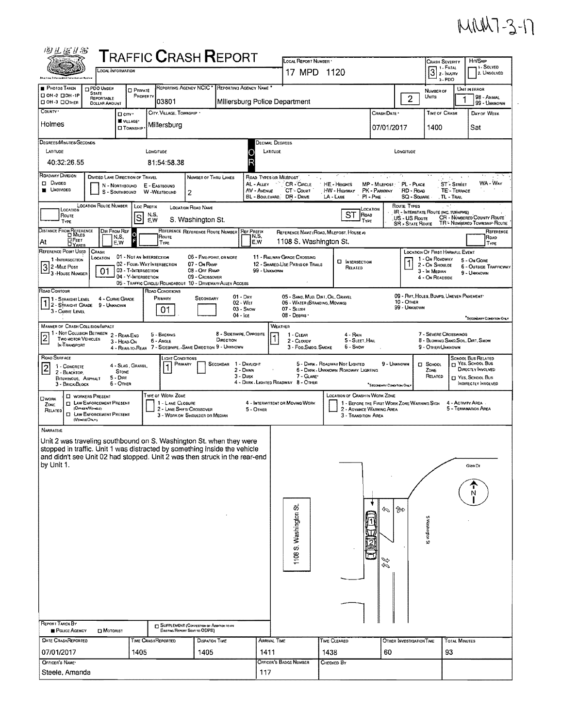## MMM7-3-17

| <b>TRAFFIC CRASH REPORT</b><br>LOCAL REPORT NUMBER .<br>CRASH SEVERITY<br>$\boxed{3} \sum_{z \in \texttt{INJIRY}}$<br><b>LOCAL INFORMATION</b><br>17 MPD 1120<br>$3 - PDO$<br>drie tow Interceptors Intermetter Septem                                                                                                                                                                                                                                                                                                                                                                                                | Hst/Skip                                        |
|-----------------------------------------------------------------------------------------------------------------------------------------------------------------------------------------------------------------------------------------------------------------------------------------------------------------------------------------------------------------------------------------------------------------------------------------------------------------------------------------------------------------------------------------------------------------------------------------------------------------------|-------------------------------------------------|
|                                                                                                                                                                                                                                                                                                                                                                                                                                                                                                                                                                                                                       | 1. SOLVED<br>2. UNSOLVED                        |
| REPORTING AGENCY NCIC * REPORTING AGENCY NAME<br><b>PHOTOS TAKEN</b><br>PDO UNDER<br>UNIT IN ERROR<br><b>D</b> PRIVATE<br>NUMBER OF<br><b>STATE</b><br>□ 0H-2 □ 0H-1P<br>PROPERTY<br>$\overline{c}$<br>Units<br>REPORTABLE<br>03801<br>Millersburg Police Department<br>CI OH-3 CI OTHER<br><b>DOLLAR AMOUNT</b>                                                                                                                                                                                                                                                                                                      | 98 - ANIMAL<br>99 - UNKNOWN                     |
| COUNTY'<br>CITY, VILLAGE, TOWNSHIP .<br><b>TIME OF CRASH</b><br>Crash Date *<br>D CITY'<br><b>W</b> VILLAGE*<br>Holmes<br>Millersburg<br>07/01/2017<br>1400<br>Sat<br><b>CI TOWNSHIP</b>                                                                                                                                                                                                                                                                                                                                                                                                                              | DAY OF WEEK                                     |
| DEGREES/MINUTES/SECONDS<br><b>DECIMAL DEGREES</b><br>LATITUDE<br>LATITUDE<br>LONGITUDE<br>LONGITUDE<br>40:32:26.55<br>81:54:58.38                                                                                                                                                                                                                                                                                                                                                                                                                                                                                     |                                                 |
| ROADWAY DIVISION<br>DIVIDED LANE DIRECTION OF TRAVEL<br>NUMBER OF THRU LANES<br>ROAD TYPES OR MILEPOST<br>Divided<br>AL - ALLEY<br>CR - CIRCLE<br>PL - PLACE<br>ST - STREET<br>HE - HEIGHTS<br>MP - MILEPOST<br>N - NORTHBOUND<br>E - EASTBOUND<br>UNDIVIDED<br>AV - AVENUE<br>PK - PARKWAY<br>RD - Road<br>TE - TERRACE<br>CT - Count<br><b>HW - HIGHWAY</b><br><b>W</b> - WESTBOUND<br>S - Southbound<br>2<br>BL - BOULEVARD, DR - DRIVE<br>LA - LANE<br>$PI - P$ IKE<br>SQ - SQUARE<br>, TL - Trail                                                                                                                | WA - Way                                        |
| <b>LOCATION ROUTE NUMBER</b><br>ROUTE TYPES<br>LOC PREFIX<br><b>LOCATION ROAD NAME</b><br>LOCATION<br>LOCATION<br>IR - Interstate Route (INC, TURNPIKE)<br><b>ST</b><br>Roso<br>N,S,<br>Route<br>S<br>CR - NÚMBERED COUNTY ROUTE<br>US - US Roure<br>S. Washington St.<br>E,W<br>TYPE<br>TYPE<br>TR - NUMBERED TOWNSHIP ROUTE<br><b>SR - STATE FLOUTE</b>                                                                                                                                                                                                                                                             |                                                 |
| DISTANCE FROM REFERENCE<br>DIR FROM REF<br>REFERENCE REFERENCE ROUTE NUMBER<br><b>REF PREFIX</b><br>REFERENCE NAME (ROAD, MILEPOST, HOUSE #)<br>$\circ$<br>N,S,<br>ROUTE<br>N,S,<br><b>LIFEET</b><br>1108 S. Washington St.<br>At<br>E.W<br>E,W<br>TYPE<br><b>DYARDS</b>                                                                                                                                                                                                                                                                                                                                              | REFERENCE<br>ROAD<br><b>TYPE</b>                |
| REFERENCE POINT USED<br>CRASH<br><b>LOCATION OF FIRST HARMFUL EVENT</b><br>01 - Not an Intersection<br>06 - FIVE-POINT, OR MORE<br>11 - RAILWAY GRADE CROSSING<br>LOCATION<br>1 - On Roadway<br>1-INTERSECTION<br>5 - On Gore<br><b>LI INTERSECTION</b><br>02 - FOUR-WAY INTERSECTION<br>07 - On RAMP<br>12 - SHARED-USE PATHS OR TRAILS<br>2 - On Shoulde<br>$32$ -Mile r $\sim$<br>RELATED<br>01<br>03 - T-INTERSECTION<br>08 - OFF RAMP<br>99 - Unknown<br>3 - In Median<br>9 - UNKNOWN<br>04 - Y-INTERSECTION<br>09 - Crossover<br>4 - On Roadside<br>05 - TRAFFIC CIRCLE/ ROUNDABOUT 10 - DRIVEWAY/ ALLEY ACCESS | <b>6 - OUTSIDE TRAFFICWAY</b>                   |
| ROAD CONTOUR<br>ROAD CONDITIONS<br>09 - RUT, HOLES, BUMPS, UNEVEN PAVEMENT<br>$01 - \text{Dry}$<br>05 - SAND, MUD, DIRT, OIL, GRAVEL<br>PRIMARY<br>SECONDARY<br>4 - CURVE GRADE<br>1 - STRAIGHT LEVEL<br>10 - OTHER<br>02 - WET<br>06 - WATER (STANDING, MOVING)<br>1 2 - STRAIGHT GRADE 9 - UNKNOWN<br>99 - Unknown<br>03 - Snow<br>07 - SLUSH<br>01<br>3 - CURVE LEVEL<br>$04 - \text{ice}$<br>08 - Deanis                                                                                                                                                                                                          | "Seconidative Concertion Only                   |
| WEATHER<br><b>2 1 - Not COLLISION BETWEEN</b><br>TWO MOTOR VEHICLES<br>TWO MOTOR VEHICLES<br>THE ATT COLLISION BETWEEN<br>2 - REAR-END<br>8 - Sideswipe, Opposite<br>7 - Severe Crosswinds<br>5 - BACKING<br>1 - CLEAR<br>4 - Rain<br>DIRECTION<br>5 - SLEET, HALL<br>8 BLOWING SANO, SOIL, DIRT, SNOW<br>2 - CLOUDY<br>6 - Angle<br><b>INTRANSPORT</b><br>4 - REAR-TO-REAR 7 - SIDESWIPE, SAME DIRECTION 9 - UNKNOWN<br>3 - Fog.SMOG. SMOKE<br>6 - Snow<br>9 - OTHER/UNKNOWN                                                                                                                                         |                                                 |
| <b>ROAD SURFACE</b><br><b>SCHOOL BUS RELATED</b><br>Light Conditions<br>H YES, SCHOOL BUS<br>9 - UNKNOWN<br>PRIMARY<br>1 - DAYLIGHT<br>5 - DARK - ROADWAY NOT LIGHTED<br>Secondar<br><b>El School</b><br>4 - SLAG, GRAVEL,<br>1 - CONCRETE<br>$\overline{2}$<br>2 - DAWN<br>6 - DARK - UNKNOWN ROADWAY LIGHTING<br>ZONE<br><b>STONE</b><br>2 - BLACKTOP,<br>3 - Dusk<br>7 - GLARE<br>RELATED<br>T YES, SCHOOL BUS<br>5 - Diri<br><b>BITUMINOUS, ASPHALT</b><br>4 - DARK - LIGHTED ROADWAY 8 - OTHER<br>6 - Onien<br>3 - BRICK/BLOCK<br>*SECONDARY CONDITION ONL                                                       | <b>DIRECTLY INVOLVED</b><br>INDIRECTLY INVOLVED |
| Type of Work Zone<br>LOCATION OF CRASH IN WORK ZONE<br><b>C WORKERS PRESENT</b><br>Owork<br><b>ITI LAW ENFORCEMENT PRESENT</b><br>1 - LANE CLOSURE<br>1 - BEFORE THE FIRST WORK ZONE WARNING SIGN<br>4 - ACTIVITY AREA.<br>4 - INTERMITTENT OR MOVING WORK<br>ZONE.<br>(Οσται Νεκαε)<br>5 - TERMINATION AREA<br>2 - LANE SHIFT/ CROSSOVER<br>2 - ADVANCE WARMING AREA<br>5 - OTHER<br>RELATED<br><b>CI LAW ENFORCEMENT PRESENT</b><br>3 - WORK ON SHOULDER OR MEDIAN<br>3 - TRANSITION AREA<br>(VO-CLEORY)                                                                                                            |                                                 |
| <b>NARRATIVE</b><br>Unit 2 was traveling southbound on S. Washington St. when they were<br>stopped in traffic. Unit 1 was distracted by something inside the vehicle<br>and didn't see Unit 02 had stopped. Unit 2 was then struck in the rear-end<br>by Unit 1.<br>Glen Dr                                                                                                                                                                                                                                                                                                                                           |                                                 |
| ি⊅<br>Þ                                                                                                                                                                                                                                                                                                                                                                                                                                                                                                                                                                                                               |                                                 |
| 1108 S. Washington St.<br>S wagningon S<br>SG                                                                                                                                                                                                                                                                                                                                                                                                                                                                                                                                                                         |                                                 |
|                                                                                                                                                                                                                                                                                                                                                                                                                                                                                                                                                                                                                       |                                                 |
| REPORT TAKEN BY<br>[T] SUPPLEMENT (CORRECTION OF ADDITION TO AN<br>POLICE AGENCY<br>MOTORIST<br>EXISTING REPORT SENT TO ODPS)                                                                                                                                                                                                                                                                                                                                                                                                                                                                                         |                                                 |
| DATE CRASHREPORTED<br><b>ARRIVAL TIME</b><br>TIME CLEARED<br><b>TOTAL MINUTES</b><br>TIME CRASHREPORTED<br><b>DISPATCH TIME</b><br>OTHER INVESTIGATION TIME<br>1405<br>1405<br>1411<br>60<br>93<br>07/01/2017<br>1438                                                                                                                                                                                                                                                                                                                                                                                                 |                                                 |
| OFFICER'S BADGE NUMBER<br>OFFICER'S NAME*<br>CHECKED BY<br>117<br>Steele, Amanda                                                                                                                                                                                                                                                                                                                                                                                                                                                                                                                                      |                                                 |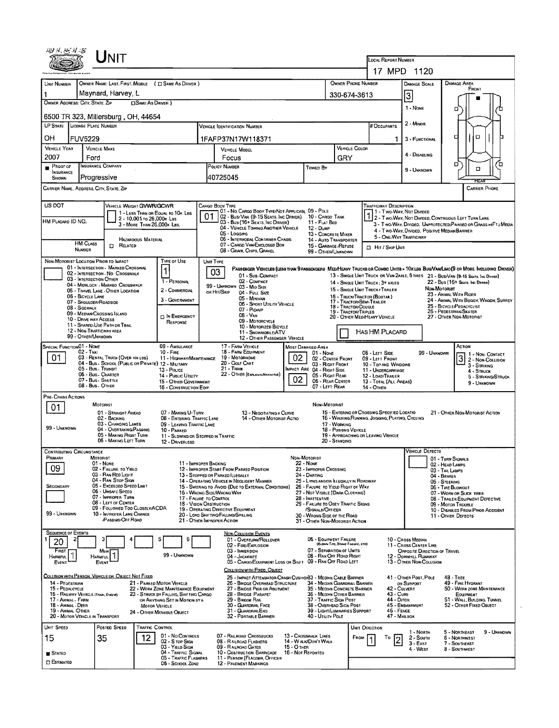|                                                                                                                                                                                                                                                                                                                                                                                         | UNIT                                                                                                                                                                                                                                                             |                                                                          |                                                                                                   |                                                                                                                                     |                                                                             |                                                                                       |                                                                                |                                                                                                               |                                                                                   |                                                                                                                  |                                                         |                                       |             |  |  |
|-----------------------------------------------------------------------------------------------------------------------------------------------------------------------------------------------------------------------------------------------------------------------------------------------------------------------------------------------------------------------------------------|------------------------------------------------------------------------------------------------------------------------------------------------------------------------------------------------------------------------------------------------------------------|--------------------------------------------------------------------------|---------------------------------------------------------------------------------------------------|-------------------------------------------------------------------------------------------------------------------------------------|-----------------------------------------------------------------------------|---------------------------------------------------------------------------------------|--------------------------------------------------------------------------------|---------------------------------------------------------------------------------------------------------------|-----------------------------------------------------------------------------------|------------------------------------------------------------------------------------------------------------------|---------------------------------------------------------|---------------------------------------|-------------|--|--|
|                                                                                                                                                                                                                                                                                                                                                                                         |                                                                                                                                                                                                                                                                  | LOCAL REPORT NUMBER<br>17 MPD 1120                                       |                                                                                                   |                                                                                                                                     |                                                                             |                                                                                       |                                                                                |                                                                                                               |                                                                                   |                                                                                                                  |                                                         |                                       |             |  |  |
|                                                                                                                                                                                                                                                                                                                                                                                         | OWNER NAME: LAST, FIRST, MIDDLE ( C SAME AS DRIVER )                                                                                                                                                                                                             |                                                                          |                                                                                                   |                                                                                                                                     |                                                                             |                                                                                       |                                                                                |                                                                                                               |                                                                                   |                                                                                                                  |                                                         |                                       |             |  |  |
| UNIT NUMBER<br>Maynard, Harvey, L<br>1                                                                                                                                                                                                                                                                                                                                                  |                                                                                                                                                                                                                                                                  | <b>OWNER PHONE NUMBER</b>                                                |                                                                                                   |                                                                                                                                     | <b>DAMAGE SCALE</b>                                                         | DAMAGE AREA                                                                           | FRONT                                                                          |                                                                                                               |                                                                                   |                                                                                                                  |                                                         |                                       |             |  |  |
| OWNER ADDRESS: CITY, STATE, ZIP                                                                                                                                                                                                                                                                                                                                                         |                                                                                                                                                                                                                                                                  | 330-674-3613                                                             |                                                                                                   |                                                                                                                                     | c)                                                                          |                                                                                       |                                                                                |                                                                                                               |                                                                                   |                                                                                                                  |                                                         |                                       |             |  |  |
| 1 - None<br>Ω<br>6500 TR 323, Millersburg, OH, 44654                                                                                                                                                                                                                                                                                                                                    |                                                                                                                                                                                                                                                                  |                                                                          |                                                                                                   |                                                                                                                                     |                                                                             |                                                                                       |                                                                                |                                                                                                               |                                                                                   |                                                                                                                  |                                                         |                                       |             |  |  |
| <b>LP STATE</b> LICENSE PLATE NUMBER                                                                                                                                                                                                                                                                                                                                                    |                                                                                                                                                                                                                                                                  |                                                                          |                                                                                                   | VEHICLE IDENTIFICATION NUMBER                                                                                                       |                                                                             |                                                                                       |                                                                                |                                                                                                               | # OCCUPANTS                                                                       | 2 - MINOR                                                                                                        |                                                         |                                       |             |  |  |
| OН<br><b>FUV5229</b>                                                                                                                                                                                                                                                                                                                                                                    |                                                                                                                                                                                                                                                                  |                                                                          |                                                                                                   | 1FAFP37N17W118371                                                                                                                   |                                                                             |                                                                                       |                                                                                |                                                                                                               |                                                                                   | 3 - FUNCTIONAL                                                                                                   | D                                                       |                                       |             |  |  |
| VEHICLE YEAR<br>2007<br>Ford                                                                                                                                                                                                                                                                                                                                                            | <b>VEHICLE MAKE</b>                                                                                                                                                                                                                                              |                                                                          | <b>VEHICLE MODEL</b><br>Focus                                                                     |                                                                                                                                     |                                                                             |                                                                                       |                                                                                | VEHICLE COLOR                                                                                                 |                                                                                   | 4 - Disabling                                                                                                    |                                                         |                                       |             |  |  |
| <b>Proof of</b>                                                                                                                                                                                                                                                                                                                                                                         | <b>INSURANCE COMPANY</b>                                                                                                                                                                                                                                         |                                                                          | POLICY NUMBER<br>Toweo By                                                                         |                                                                                                                                     |                                                                             |                                                                                       | GRY                                                                            |                                                                                                               |                                                                                   | 9 - Unknown                                                                                                      | o                                                       | O                                     | o           |  |  |
| <b>INSURANCE</b><br><b>SHOWN</b>                                                                                                                                                                                                                                                                                                                                                        | Progressive                                                                                                                                                                                                                                                      |                                                                          | 40725045                                                                                          |                                                                                                                                     |                                                                             |                                                                                       |                                                                                |                                                                                                               |                                                                                   |                                                                                                                  |                                                         |                                       |             |  |  |
| CARRIER NAME, ADDRESS, CITY, STATE, ZIP<br><b>CARRIER PHONE</b>                                                                                                                                                                                                                                                                                                                         |                                                                                                                                                                                                                                                                  |                                                                          |                                                                                                   |                                                                                                                                     |                                                                             |                                                                                       |                                                                                |                                                                                                               |                                                                                   |                                                                                                                  |                                                         |                                       |             |  |  |
| US DOT                                                                                                                                                                                                                                                                                                                                                                                  | VEHICLE WEIGHT GVWR/GCWR<br><b>TRAFFICWAY DESCRIPTION</b><br>Cargo Body Type                                                                                                                                                                                     |                                                                          |                                                                                                   |                                                                                                                                     |                                                                             |                                                                                       |                                                                                |                                                                                                               |                                                                                   |                                                                                                                  |                                                         |                                       |             |  |  |
| HM PLACARD ID NO.                                                                                                                                                                                                                                                                                                                                                                       | 1 - LESS THAN OR EQUAL TO 10K LBS<br>2 - 10,001 To 26,000x Las                                                                                                                                                                                                   |                                                                          | 01                                                                                                | 01 - No CARGO BODY TYPE/NOT APPLICABL 09 - POLE<br>02 - Bus/Van (9-15 Seats, Inc Driver) 10 - Cargo Tank                            |                                                                             |                                                                                       |                                                                                | 1 - Two-Way, Not Divided<br>1 2 - Two-Way, Not Divided<br>2 - Two Way, Not Divided, Continuous Left Turn Lane |                                                                                   |                                                                                                                  |                                                         |                                       |             |  |  |
|                                                                                                                                                                                                                                                                                                                                                                                         | 3 - MORE THAN 26,000K LBS.                                                                                                                                                                                                                                       |                                                                          |                                                                                                   | 03 - Bus (16+ Seats, Inc DRIVER)<br>04 - VEHICLE TOWING ANOTHER VEHICLE<br>05 - Logging                                             |                                                                             | 11 - FLAT BED<br>12 - Dump<br>13 - CONCRETE MIXER                                     |                                                                                |                                                                                                               |                                                                                   | 3 - Two-Way, Divided, UNPROTECTED(PAINTED OR GRASS >4FT.) MEDIA<br>4 - Two-Way, Divided, Positive Median Barrier |                                                         |                                       |             |  |  |
| <b>HM CLASS</b>                                                                                                                                                                                                                                                                                                                                                                         | <b>HAZARDOUS MATERIAL</b><br>$\Box$<br>RELATED                                                                                                                                                                                                                   |                                                                          |                                                                                                   | 06 - INTERMODAL CONTAINER CHASIS<br>07 - CARGO VAN ENCLOSED BOX                                                                     |                                                                             | 14 - Auto Transporter<br>15 - GARBAGE /REFUSE                                         |                                                                                |                                                                                                               | 5 - ONE-WAY TRAFFICWAY                                                            |                                                                                                                  |                                                         |                                       |             |  |  |
| NUMBER                                                                                                                                                                                                                                                                                                                                                                                  |                                                                                                                                                                                                                                                                  |                                                                          |                                                                                                   | 08 - GRAIN, CHIPS, GRAVEL                                                                                                           |                                                                             | 99 - OTHER/UNKNOWN                                                                    |                                                                                |                                                                                                               | <b>D</b> Hir / Skip Unit                                                          |                                                                                                                  |                                                         |                                       |             |  |  |
| NON-MOTORIST LOCATION PRIOR TO IMPACT                                                                                                                                                                                                                                                                                                                                                   | 01 - INTERSECTION - MARKED CROSSWAL                                                                                                                                                                                                                              | TYPE OF USE                                                              | UNIT TYPE<br>03                                                                                   | PASSENGER VEHICLES (LESS THAN 9 PASSENGERS MEDIMEAVY TRUCKS OR COMBO UNITS > 10KLBS BUS/VAM/LIMO(9 OR MORE INCLUDING DRIVER)        |                                                                             |                                                                                       |                                                                                |                                                                                                               |                                                                                   |                                                                                                                  |                                                         |                                       |             |  |  |
| 03 - INTERSECTION OTHER                                                                                                                                                                                                                                                                                                                                                                 | 02 - INTERSECTION - NO CROSSWALK<br>04 - MIDBLOCK - MARKEO CROSSWALK                                                                                                                                                                                             | 1 - PERSONAL                                                             |                                                                                                   | 01 - SUB COMPACT<br>02 - COMPACT                                                                                                    |                                                                             |                                                                                       |                                                                                |                                                                                                               | 14 - SINGLE UNIT TRUCK: 3+ AXLES                                                  | 13 - SINGLE UNIT TRUCK OR VAN ZAXLE, 6 TIRES 21 - BUS/VAN (9-15 SEATS, INC DAINER)                               |                                                         | 22 - Bus (16+ Seats, Inc Damea)       |             |  |  |
| 06 - BICYCLE LANE                                                                                                                                                                                                                                                                                                                                                                       | 05 - TRAVEL LANE - OTHER LOCATION                                                                                                                                                                                                                                | 2 - COMMERCIAL                                                           |                                                                                                   | 99 - UNKNOWN 03 - MID SIZE<br>ов Ніт/Sкір<br>04 - Four Size                                                                         |                                                                             |                                                                                       | 16 - TRUCK/TRACTOR (BOBTAIL)                                                   |                                                                                                               | 15 - SINGLE UNIT TRUCK / TRAILER                                                  |                                                                                                                  | Non-Motoriat<br>23 - ANIMAL WITH RIDER                  |                                       |             |  |  |
| 07 - Shoulder/Roadside<br>08 - SIDEWALK                                                                                                                                                                                                                                                                                                                                                 |                                                                                                                                                                                                                                                                  | 3 - GOVERNMENT                                                           |                                                                                                   | 05 - MINIVAN<br>06 - SPORT UTILITY VEHICLE<br>07 - PICKUP                                                                           |                                                                             |                                                                                       | 17 - TRACTORISEMI-TRAILER<br>18 - TRACTOR/DOUBLE                               |                                                                                                               |                                                                                   |                                                                                                                  | 25 - BICYCLE/PEDACYCLIST                                | 24 - ANIMAL WITH BUGGY, WAGON, SURREY |             |  |  |
| 09 - MEDIAN CROSSING ISLAND<br>10 - DRIVE WAY ACCESS                                                                                                                                                                                                                                                                                                                                    |                                                                                                                                                                                                                                                                  | IN EMERGENCY                                                             | 19 - TRACTOR/TRIPLES<br>08 - VAN<br>09 - MOTORCYCLE                                               |                                                                                                                                     |                                                                             |                                                                                       |                                                                                |                                                                                                               | 26 - Pedestrian/Skater<br>20 - OTHER MEDIHEAVY VEHICLE<br>27 - OTHER NON-MOTORIST |                                                                                                                  |                                                         |                                       |             |  |  |
| RESPONSE<br>11 - SHARED-USE PATH OR TRAIL<br>10 - Motorized Bicycle<br>12 - NON-TRAFFICWAY AREA<br>HAS HM PLACARD<br>11 - SNOWMOBILE/ATV                                                                                                                                                                                                                                                |                                                                                                                                                                                                                                                                  |                                                                          |                                                                                                   |                                                                                                                                     |                                                                             |                                                                                       |                                                                                |                                                                                                               |                                                                                   |                                                                                                                  |                                                         |                                       |             |  |  |
| 99 - OTHER/UNKNOWN<br>SPECIAL FUNCTION 01 - NONE                                                                                                                                                                                                                                                                                                                                        |                                                                                                                                                                                                                                                                  | 09 - AMBULANCE                                                           |                                                                                                   | 12 - OTHER PASSENGER VEHICLE<br>17 - FARM VEHICLE                                                                                   |                                                                             | MOST DAMAGED AREA                                                                     |                                                                                |                                                                                                               |                                                                                   |                                                                                                                  |                                                         | Астюм                                 |             |  |  |
| $02 - TAXI$<br>01                                                                                                                                                                                                                                                                                                                                                                       | 03 - RENTAL TRUCK (OVER 10K LBS)                                                                                                                                                                                                                                 | 18 - FARM EQUIPMENT<br>19 - Мотопноме<br>11 - HIGHWAY/MAINTENANCE        | $01 - \text{Now}$<br>08 - LEFT SIDE<br>99 - UNKNOWN<br>02<br>02 - CENTER FRONT<br>09 - LEFT FRONT |                                                                                                                                     |                                                                             |                                                                                       |                                                                                |                                                                                                               | 3                                                                                 | 1 - Non-Contact<br>2 - Non-Collision                                                                             |                                                         |                                       |             |  |  |
|                                                                                                                                                                                                                                                                                                                                                                                         | 04 - Bus - SCHOOL (PUBLIC OR PRIVATE) 12 - MILITARY<br>05 - Bus Transit                                                                                                                                                                                          | 13 - Pouce                                                               |                                                                                                   | 20 - GOLF CART<br>$21 -$ TRAIN                                                                                                      |                                                                             | 03 - RIGHT FRONT<br>IMPACT ARE 04 - RIGHT SIDE                                        |                                                                                |                                                                                                               | 10 - Top and Windows<br>11 - UNDERCARRIAGE                                        |                                                                                                                  |                                                         | 3 - STRIKING<br>4 - STRUCK            |             |  |  |
|                                                                                                                                                                                                                                                                                                                                                                                         | 06 - Bus. Charter<br>07 - Bus - SHUTTLE                                                                                                                                                                                                                          | 14 - Pustic Unuty<br>15 - OTHER GOVERNMENT                               |                                                                                                   | 22 - OTHER (EXPLAININ NASRATIVE)                                                                                                    | 02                                                                          | 05 - Right REAR<br>06 - REAR CENTER                                                   |                                                                                |                                                                                                               | 12 - LOAD/TRALER<br>13 - TOTAL (ALL AREAS)                                        |                                                                                                                  |                                                         | 5 - STRIKING/STRUCK<br>9 - Unknown    |             |  |  |
| 08 - Bus. OTHER<br>07 - LEFT REAR<br>16 - CONSTRUCTION EOIP.<br>14 - OTHER<br>PRE-CRASH ACTIONS                                                                                                                                                                                                                                                                                         |                                                                                                                                                                                                                                                                  |                                                                          |                                                                                                   |                                                                                                                                     |                                                                             |                                                                                       |                                                                                |                                                                                                               |                                                                                   |                                                                                                                  |                                                         |                                       |             |  |  |
| 01.                                                                                                                                                                                                                                                                                                                                                                                     | MOTORIST<br>01 - STRAIGHT AHEAD                                                                                                                                                                                                                                  | 07 - MAKING U-TURN                                                       |                                                                                                   | 13 - Negotiating a Curve                                                                                                            |                                                                             | NON-MOTORIST                                                                          |                                                                                |                                                                                                               | 15 - ENTERING OR CROSSING SPECIFIED LOCATIO                                       |                                                                                                                  |                                                         | 21 - OTHER NON-MOTORIST ACTION        |             |  |  |
|                                                                                                                                                                                                                                                                                                                                                                                         | 02 - BACKING<br>03 - CHANGING LANES                                                                                                                                                                                                                              | <b>08 - ENTERING TRAFFIC LANE</b><br>09 - LEAVING TRAFFIC LANE           |                                                                                                   | 14 - OTHER MOTORIST ACTIO                                                                                                           |                                                                             |                                                                                       | 17 - WORKING                                                                   |                                                                                                               | 16 - WALKING, RUNNING, JOGGING, PLAYING, CYCLING                                  |                                                                                                                  |                                                         |                                       |             |  |  |
| 99 - UNKNOWN                                                                                                                                                                                                                                                                                                                                                                            | 04 - OVERTAKING/PASSING<br>05 - MAKING RIGHT TURN                                                                                                                                                                                                                | 10 - PARKED<br>11 - SLDWING OR STOPPED IN TRAFFIC                        |                                                                                                   |                                                                                                                                     |                                                                             |                                                                                       | 18 - Pushing Vehicle                                                           |                                                                                                               | 19 - APPROACHING OR LEAVING VEHICLE                                               |                                                                                                                  |                                                         |                                       |             |  |  |
|                                                                                                                                                                                                                                                                                                                                                                                         | 06 - MAKING LEFT TURN                                                                                                                                                                                                                                            | 12 - DRIVERLESS                                                          |                                                                                                   |                                                                                                                                     |                                                                             |                                                                                       | 20 - Standing                                                                  |                                                                                                               |                                                                                   | <b>VEHICLE DEFECTS</b>                                                                                           |                                                         |                                       |             |  |  |
| <b>CONTRIBUTING CIRCUMSTANCE</b><br>Рамаат                                                                                                                                                                                                                                                                                                                                              | MOTORIST<br>01 - NONE                                                                                                                                                                                                                                            | 11 - IMPROPER BACKING                                                    |                                                                                                   |                                                                                                                                     | NDN-MOTORIST                                                                |                                                                                       |                                                                                |                                                                                                               |                                                                                   |                                                                                                                  | 01 - TURN SIGNALS                                       |                                       |             |  |  |
| 09                                                                                                                                                                                                                                                                                                                                                                                      | 02 - FAILURE TO YIELD<br>03 - RAN RED LIGHT                                                                                                                                                                                                                      |                                                                          |                                                                                                   | 22 - NONE<br>12 - IMPROPER START FROM PARKED POSITION<br>23 - IMPROPER CROSSING<br>24 - DARTING<br>13 - STOPPED OR PARKED ILLEGALLY |                                                                             |                                                                                       |                                                                                |                                                                                                               |                                                                                   | 02 - HEAD LAMPS<br>03 - TAIL LAMPS<br>04 - BRAKES                                                                |                                                         |                                       |             |  |  |
| SECONDARY                                                                                                                                                                                                                                                                                                                                                                               | 04 - RAN STOP SIGN<br>05 - Exceeped Speed Limit                                                                                                                                                                                                                  |                                                                          |                                                                                                   | 14 - OPERATING VEHICLE IN NEGLIGENT MANNER<br>15 - SWERING TO AVOID (DUE TO EXTERNAL CONDITIONS)                                    | 25 - Lynng andadr Illegally in Roadway<br>26 - FALURE TO YIELD RIGHT OF WAY |                                                                                       |                                                                                |                                                                                                               |                                                                                   |                                                                                                                  |                                                         |                                       |             |  |  |
|                                                                                                                                                                                                                                                                                                                                                                                         | 06 - UNSAFE SPEED<br>07 - IMPROPER TURN                                                                                                                                                                                                                          | 16 - WRONG SIDE/WRONG WAY<br>17 - FALURE TO CONTROL                      |                                                                                                   | 27 - NOT VISIBLE (DARK CLOTHING)<br>28 - INATTENTIVE                                                                                |                                                                             |                                                                                       |                                                                                |                                                                                                               |                                                                                   | 06 - TIRE BLOWOUT<br>07 - WORN OR SLICK TIRES<br>08 - TRAILER EQUIPMENT DEFECTIVE                                |                                                         |                                       |             |  |  |
| 08 - LEFT OF CENTER<br>18 - VISION OBSTRUCTION<br>09 - FOLLOWED TOO CLOSELY/ACDA<br>19 - OPERATING DEFECTIVE EQUIPMENT<br>99 - UNKNOWN                                                                                                                                                                                                                                                  |                                                                                                                                                                                                                                                                  |                                                                          |                                                                                                   |                                                                                                                                     |                                                                             | 29 - FAILURE TO OBEY TRAFFIC SIGNS<br>/SIGNALS/OFFICER<br>30 - WRONG SIDE OF THE ROAD |                                                                                |                                                                                                               |                                                                                   |                                                                                                                  | 09 - Motor Trouble<br>10 - DISABLED FROM PRIOR ACCIDENT |                                       |             |  |  |
|                                                                                                                                                                                                                                                                                                                                                                                         | 10 - IMPROPER LANE CHANGE<br>/PASSING/OFF ROAD                                                                                                                                                                                                                   | 21 - OTHER IMPROPER ACTION                                               |                                                                                                   | 20 - LOAD SHIFTING/FALLING/SPILLING                                                                                                 |                                                                             | 31 - OTHER NON-MOTORIST ACTION                                                        |                                                                                |                                                                                                               |                                                                                   |                                                                                                                  | 11 - OTHER DEFECTS                                      |                                       |             |  |  |
| <b>SEQUENCE OF EVENTS</b>                                                                                                                                                                                                                                                                                                                                                               |                                                                                                                                                                                                                                                                  | 5                                                                        |                                                                                                   | <b>NON-COLLISION EVENTS</b>                                                                                                         |                                                                             |                                                                                       |                                                                                |                                                                                                               |                                                                                   |                                                                                                                  |                                                         |                                       |             |  |  |
| First                                                                                                                                                                                                                                                                                                                                                                                   | 06 - EQUIPMENT FAILURE<br>01 - Overturn/Rollover<br>10 - Cross Median<br>6<br>2<br>20<br>(BLOWN TIPE, BRAKE FAILURE, ETC)<br>02 - FIRE/EXPLOSION<br>11 - CROSS CENTER LINE<br>07 - SEPARATION OF UNITS<br>03 - IMMERSION<br>OPPOSITE DIRECTION OF TRAVEL<br>Most |                                                                          |                                                                                                   |                                                                                                                                     |                                                                             |                                                                                       |                                                                                |                                                                                                               |                                                                                   |                                                                                                                  |                                                         |                                       |             |  |  |
| <b>HARMFUL</b><br>EVENT                                                                                                                                                                                                                                                                                                                                                                 | <b>HARMFUL</b><br>EVENT                                                                                                                                                                                                                                          | 99 - Unknown                                                             |                                                                                                   | 04 - JACKKNIFE<br>05 - CARGO/EQUIPMENT LOSS OR SHIFT 09 - RAN OFF ROAD LEFT                                                         |                                                                             | 08 - RAN OFF ROAD RIGHT                                                               |                                                                                |                                                                                                               |                                                                                   | 12 - DOWNHILL RUNAWAY<br>13 - OTHER NON-COLLISION                                                                |                                                         |                                       |             |  |  |
|                                                                                                                                                                                                                                                                                                                                                                                         | COLLISION WITH PERSON, VEHICLE OR OBJECT NOT FIXED                                                                                                                                                                                                               |                                                                          |                                                                                                   | COLLISION WITH FIXED, OBJECT                                                                                                        |                                                                             |                                                                                       |                                                                                |                                                                                                               |                                                                                   |                                                                                                                  | <b>48 - TREE</b>                                        |                                       |             |  |  |
| 25 - IMPACT ATTENUATOR/CRASH CUSHIOI83 - MEDIAN CABLE BARRIER<br>41 - OTHER POST, POLE<br>14 - PEDESTRIAN<br>21 - PARKED MOTOR VEHICLE<br>49 - FIRE HYDRANT<br>26 - BRIDGE OVERHEAD STRUCTURE<br>34 - MEDIAN GUARDRAIL BARRIER<br>OR SUPPORT<br>15 - PEDALCYCLE<br>22 - WORK ZONE MAINTENANCE EQUIPMENT<br>27 - BRIDGE PIER OR ABUTMENT<br>35 - MEDIAN CONCRETE BARRIER<br>42 - CULVERT |                                                                                                                                                                                                                                                                  |                                                                          |                                                                                                   |                                                                                                                                     |                                                                             |                                                                                       |                                                                                | 50 - WORK ZONE MAINTENANCE                                                                                    |                                                                                   |                                                                                                                  |                                                         |                                       |             |  |  |
| 15 - RAILWAY VEHICLE (TAAN, ENGINE)<br>17 - ANIMAL - FARM                                                                                                                                                                                                                                                                                                                               |                                                                                                                                                                                                                                                                  | 23 - STRUCK BY FALLING, SHIFTING CARGO<br>OR ANYTHING SET IN MOTION BY A | 28 - BRIDGE PARAPET<br>29 - BRIDGE RAIL                                                           |                                                                                                                                     |                                                                             |                                                                                       | 36 - MEDIAN OTHER BARRIER<br>43 - Curs<br>37 - TRAFFIC SIGN POST<br>44 - Dirch |                                                                                                               |                                                                                   | EQUIPMENT<br>51 - WALL, BUILDING, TUNNEL                                                                         |                                                         |                                       |             |  |  |
| 18 - Animal - Deer<br>30 - GUARDRAIL FACE<br>38 - OVERHEAD SIGN POST<br>45 - EMBANKMENT<br>52 - OTHER FIXED OBJECT<br>MOTOR VEHICLE<br>19 - ANIMAL-OTHER<br>31 - GUARDRAILEND<br>39 - LIGHT/LUMINARIES SUPPORT<br>$46 -$ FENCE<br>24 - OTHER MOVABLE OBJECT<br>20 - Motor Vehicle in Transport<br>40 - Unury Pole<br>47 - MALBOX                                                        |                                                                                                                                                                                                                                                                  |                                                                          |                                                                                                   |                                                                                                                                     |                                                                             |                                                                                       |                                                                                |                                                                                                               |                                                                                   |                                                                                                                  |                                                         |                                       |             |  |  |
| UNIT SPEED                                                                                                                                                                                                                                                                                                                                                                              | POSTED SPEED<br>TRAFFIC CONTROL                                                                                                                                                                                                                                  |                                                                          |                                                                                                   | 32 - PORTABLE BARRIER                                                                                                               |                                                                             |                                                                                       |                                                                                | UNIT DIRECTION                                                                                                |                                                                                   |                                                                                                                  |                                                         |                                       |             |  |  |
| 15                                                                                                                                                                                                                                                                                                                                                                                      | 35<br>12.                                                                                                                                                                                                                                                        | 01 - No CONTROLS<br>02 - S TOP SIGN                                      |                                                                                                   | 07 - RAILROAD CROSSBUCKS<br>08 - RAILROAD FLASHERS                                                                                  |                                                                             | 13 - CROSSWALK LINES<br>14 - WALK/DON'T WALK                                          |                                                                                | <b>FROM</b>                                                                                                   | To                                                                                | 1 - North<br>2 - South                                                                                           | 5 - Northeast<br><b>6 - NORTHWEST</b>                   |                                       | 9 - UNKNOWN |  |  |
| <b>STATED</b>                                                                                                                                                                                                                                                                                                                                                                           |                                                                                                                                                                                                                                                                  | 03 - YIELD SIGN<br>04 - TRAFFIC SIGNAL                                   |                                                                                                   | 09 - RAILROAD CATES<br>10 - Costruction Barricade                                                                                   | <b>15 - O THER</b><br>16 - Not Reported                                     |                                                                                       |                                                                                |                                                                                                               |                                                                                   | $3 - East$<br>4 - West                                                                                           | 7 - SOUTHEAST<br>8 - SOUTHWEST                          |                                       |             |  |  |
| $\square$ Estimated                                                                                                                                                                                                                                                                                                                                                                     |                                                                                                                                                                                                                                                                  | 05 - TRAFFIC FLASHERS<br>06 - SCHOOL ZONE                                |                                                                                                   | 11 - PERSON (FLAGGER, OFFICER<br><b>12 - PAVEMENT MARKINGS</b>                                                                      |                                                                             |                                                                                       |                                                                                |                                                                                                               |                                                                                   |                                                                                                                  |                                                         |                                       |             |  |  |
|                                                                                                                                                                                                                                                                                                                                                                                         |                                                                                                                                                                                                                                                                  |                                                                          |                                                                                                   |                                                                                                                                     |                                                                             |                                                                                       |                                                                                |                                                                                                               |                                                                                   |                                                                                                                  |                                                         |                                       |             |  |  |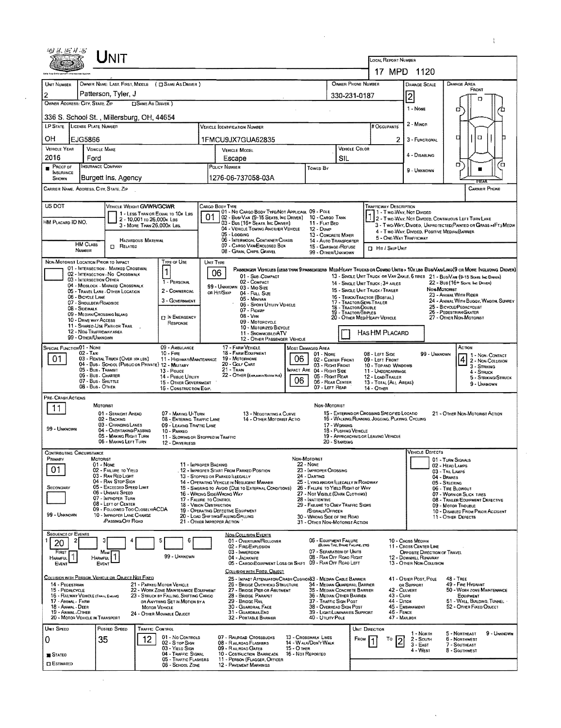|                                             |                                                                       | JNIT                                                                                    |                                                                                |                                                   |                                                                                                 |                                                       |                                                                            |                                 | <b>LOCAL REPORT NUMBER</b>                                                                      |                              |                                                              |                                    |                                                                                                                                                                                                                     |  |  |
|---------------------------------------------|-----------------------------------------------------------------------|-----------------------------------------------------------------------------------------|--------------------------------------------------------------------------------|---------------------------------------------------|-------------------------------------------------------------------------------------------------|-------------------------------------------------------|----------------------------------------------------------------------------|---------------------------------|-------------------------------------------------------------------------------------------------|------------------------------|--------------------------------------------------------------|------------------------------------|---------------------------------------------------------------------------------------------------------------------------------------------------------------------------------------------------------------------|--|--|
|                                             |                                                                       |                                                                                         |                                                                                |                                                   |                                                                                                 |                                                       |                                                                            |                                 |                                                                                                 |                              | 17 MPD 1120                                                  |                                    |                                                                                                                                                                                                                     |  |  |
| UNIT NUMBER                                 |                                                                       | OWNER NAME: LAST, FIRST, MIDDLE ( C SAME AS DRIVER )                                    |                                                                                |                                                   |                                                                                                 |                                                       |                                                                            | OWNER PHONE NUMBER              |                                                                                                 |                              | <b>DAMAGE SCALE</b>                                          |                                    | <b>DAMAGE AREA</b><br>FRONT                                                                                                                                                                                         |  |  |
| $\overline{2}$                              | OWNER ADDRESS: CITY, STATE, ZIP                                       | Patterson, Tyler, J<br><b>ISAME AS DRIVER</b> )                                         |                                                                                |                                                   |                                                                                                 | 330-231-0187                                          |                                                                            | 2                               |                                                                                                 |                              | D                                                            |                                    |                                                                                                                                                                                                                     |  |  |
|                                             |                                                                       |                                                                                         |                                                                                |                                                   |                                                                                                 |                                                       |                                                                            |                                 |                                                                                                 |                              | 1 - NONE                                                     |                                    | о<br>m                                                                                                                                                                                                              |  |  |
|                                             | LP STATE LICENSE PLATE NUMBER                                         | 336 S. School St., Millersburg, OH, 44654                                               |                                                                                |                                                   | VEHICLE IDENTIFICATION NUMBER                                                                   |                                                       |                                                                            |                                 | # Occupants                                                                                     |                              | 2 - Minon                                                    |                                    |                                                                                                                                                                                                                     |  |  |
| OН                                          | EJG5866                                                               |                                                                                         |                                                                                |                                                   | 1FMCU9JX7GUA62835                                                                               |                                                       |                                                                            |                                 |                                                                                                 | ㅁ<br>$\Box$                  |                                                              |                                    |                                                                                                                                                                                                                     |  |  |
| <b>VEHICLE YEAR</b>                         | <b>VEHICLE MAKE</b>                                                   |                                                                                         |                                                                                | VEHICLE COLOR<br><b>VEHICLE MODEL</b>             |                                                                                                 |                                                       |                                                                            |                                 | $\mathbf{2}$                                                                                    |                              |                                                              |                                    |                                                                                                                                                                                                                     |  |  |
| 2016<br>PROOF OF                            | Ford<br><b>INSURANCE COMPANY</b>                                      |                                                                                         |                                                                                | SIL<br>Escape<br>POLICY NUMBER                    |                                                                                                 |                                                       |                                                                            |                                 | 4 - DISABLING<br>σ                                                                              |                              |                                                              |                                    |                                                                                                                                                                                                                     |  |  |
| <b>INSURANCE</b><br>SHOWN                   |                                                                       | Burgett Ins. Agency                                                                     |                                                                                |                                                   | 1276-06-737058-03A                                                                              |                                                       | TOWED BY                                                                   |                                 | 7¤<br>9 - UNKNOWN                                                                               |                              |                                                              |                                    |                                                                                                                                                                                                                     |  |  |
|                                             | CARRIER NAME, ADDRESS, CITY, STATE, ZIP                               |                                                                                         |                                                                                |                                                   |                                                                                                 |                                                       |                                                                            |                                 |                                                                                                 |                              |                                                              |                                    | <b>CARRIER PHONE</b>                                                                                                                                                                                                |  |  |
| US DOT                                      |                                                                       |                                                                                         |                                                                                |                                                   |                                                                                                 |                                                       |                                                                            |                                 |                                                                                                 |                              |                                                              |                                    |                                                                                                                                                                                                                     |  |  |
|                                             |                                                                       | VEHICLE WEIGHT GVWR/GCWR<br>1 - LESS THAN OR EQUAL TO 10K LBS                           |                                                                                | CARGO BODY TYPE<br>01                             | 01 - No CARGO BODY TYPE/NOT APPLICABL 09 - POLE<br>02 - Bus/Van (9-15 Seats, Inc Driver)        |                                                       | 10 - CARGO TANK                                                            |                                 | <b>TRAFFICWAY DESCRIPTION</b>                                                                   |                              | 1 - Two-Way, Not Divideo                                     |                                    |                                                                                                                                                                                                                     |  |  |
| HM PLACARD ID NO.                           |                                                                       | 2 - 10,001 to 26,000k Las<br>3 - MORE THAN 26,000K LBS.                                 |                                                                                |                                                   | 03 - Bus (16+ Seats, Inc Driver)<br>04 - VEHICLE TOWING ANOTHER VEHICLE                         |                                                       | 11 - FLAT BED<br>12 - Dump                                                 |                                 |                                                                                                 |                              | 4 - Two-Way, Divided, Positive Median Barrier                |                                    | 2 - Two-Way, Not Divided, Continuous Left Turn Lane<br>3 - Two-Way, Divided, UNPROTECTED(PAINTED OR GRASS >4FT.) MEDIA                                                                                              |  |  |
|                                             |                                                                       | HAZARDOUS MATERIAL                                                                      |                                                                                |                                                   | 05 - Logging<br>06 - INTERMODAL CONTAINER CHASIS                                                |                                                       | 13 - CONCRETE MIXER<br>14 - AUTO TRANSPORTER                               |                                 |                                                                                                 | 5 - ONE-WAY TRAFFICWAY       |                                                              |                                    |                                                                                                                                                                                                                     |  |  |
|                                             | <b>HM CLASS</b><br><b>NUMBER</b>                                      | $\Box$ Related                                                                          |                                                                                |                                                   | 07 - CARGO VAN/ENCLOSED BOX<br>08 - Graw, Chips, Gravel                                         |                                                       | 15 - GARBAGE /REFUSE<br>99 - OTHER/UNKNOWN                                 |                                 | Hit / Skip Unit                                                                                 |                              |                                                              |                                    |                                                                                                                                                                                                                     |  |  |
|                                             | NON-MOTORIST LOCATION PRIOR TO IMPACT                                 | 01 - INTERSECTION - MARKED CROSSWAL                                                     | Type of Use                                                                    | UNIT TYPE                                         |                                                                                                 |                                                       |                                                                            |                                 |                                                                                                 |                              |                                                              |                                    |                                                                                                                                                                                                                     |  |  |
|                                             | 03 - INTERSECTION OTHER                                               | 02 - INTERSECTION - NO CROSSWALK                                                        | $\vert$ 1<br>1 - PERSONAL                                                      | 06                                                | 01 - SUB-COMPACT<br>02 - COMPACT                                                                |                                                       |                                                                            |                                 |                                                                                                 |                              |                                                              |                                    | PASSENGER VEHICLES (LESS THAN 9 PASSENGERS MEDIMEAVY TRUCKS OR COMBO UNITS > 10K LBS BUS/VAN/LIMO(9 OR MORE INCLUDING DRIVER)<br>13 - SINGLE UNIT TRUCK OR VAN ZAXLE, 6 TIRES 21 - BUS/VAN (9-15 SEATS, INC DRIVER) |  |  |
|                                             |                                                                       | 04 - MIDBLOCK - MARKED CROSSWALK<br>05 - TRAVEL LANE - OTHER LOCATION                   | 2 - COMMERCIAL                                                                 | OR HIT/SKIP                                       | 99 - UNKNOWN 03 - MID SIZE<br>04 - FULL SIZE                                                    |                                                       |                                                                            |                                 | 14 - SINGLE UNIT TRUCK: 3+ AXLES<br>15 - SINGLE UNIT TRUCK / TRAILER                            |                              |                                                              | NON-MOTORIST                       | 22 - Bus (16+ Seats, Inc. Driver)<br>23 - ANUMAL WITH RIDER                                                                                                                                                         |  |  |
|                                             | 06 - BICYCLE LANE<br>07 - SHOULDER/ROADSIDE                           |                                                                                         | 3 - GOVERNMENT                                                                 |                                                   | 05 - MINIVAN<br>06 - Sport Utility Vehicle                                                      |                                                       |                                                                            | 18 - TRACTOR/DOUBLE             | 16 - TRUCK/TRACTOR (BOBTAIL)<br>17 - TRACTOR/SEMI TRAILER                                       |                              |                                                              |                                    | 24 - ANIMAL WITH BUGGY, WAGON, SURREY<br>25 - BICYCLE/PEDACYCLIST                                                                                                                                                   |  |  |
|                                             | 08 - SIDEWALK<br>09 - MEDIAN/CROSSING ISLAND<br>10 - DRIVE WAY ACCESS |                                                                                         | $\Box$ In EMERGENCY                                                            |                                                   | 07 - PICKUP<br>08 - VAN                                                                         |                                                       |                                                                            | 19 - TRACTOR/TRIPLES            | 20 - OTHER MEDIHEAVY VEHICLE                                                                    |                              |                                                              |                                    | 26 - PEDESTRIAN/SKATER<br>27 - OTHER NON-MOTORIST                                                                                                                                                                   |  |  |
|                                             | 11 - SHARED-USE PATH OR TRAIL<br><b>12 - NON-TRAFFICWAY AREA</b>      |                                                                                         | RESPONSE                                                                       |                                                   | 09 - MOTORCYCLE<br>10 - MOTORIZED BICYCLE                                                       |                                                       |                                                                            |                                 | HAS HM PLACARD                                                                                  |                              |                                                              |                                    |                                                                                                                                                                                                                     |  |  |
|                                             | 99 - OTHER/UNKNOWN                                                    |                                                                                         |                                                                                |                                                   | 11 - SNOWMOBILE/ATV<br>12 - OTHER PASSENGER VEHICLE                                             |                                                       |                                                                            |                                 |                                                                                                 |                              |                                                              |                                    |                                                                                                                                                                                                                     |  |  |
| SPECIAL FUNCTION 01 - NONE                  | 02 - Taxi                                                             |                                                                                         | 09 - AMBULANCE<br>$10 - F$ IRE                                                 |                                                   | 17 - FARM VEHICLE<br>18 - FARM EQUIPMENT<br>19 - Мотовноме                                      | 06                                                    | Most Damaged Area<br>$01 - None$                                           |                                 | 08 - LEFT SIDE                                                                                  |                              | 99 - Unknown                                                 |                                    | Астюк<br>1 - NON-CONTACT                                                                                                                                                                                            |  |  |
| 01                                          | 05 - Bus - Transit                                                    | 03 - RENTAL TRUCK (OVER 10K LBS)<br>04 - Bus - School (Public or Private) 12 - Military | 11 - HIGHWAY/MAINTENANCE<br>13 - Pouce                                         |                                                   | 20 - GOLF CART<br>$21 -$ TRAIN                                                                  |                                                       | 02 - CENTER FRONT<br>03 - RIGHT FRONT<br>MPACT ARE 04 - RIGHT SIDE         |                                 | 09 - LEFT FRONT<br>10 - Top AND WINDOWS                                                         |                              |                                                              |                                    | 2 - Non-Collision<br>3 - Striking                                                                                                                                                                                   |  |  |
|                                             | 06 - Bus. CHARTER<br>$07 - Bus$ . SHUTTLE                             |                                                                                         | 14 - PUBLIC UTILITY<br>15 - OTHER GOVERNMENT                                   |                                                   | 22 - OTHER (EXPLAIN NAISPATIVE)                                                                 | 06                                                    | 05 - RIGHT REAR<br>06 - REAR CENTER                                        |                                 | 11 - UNDERCARRIAGE<br>12 - LOAD/TRAILER<br>13 - TOTAL (ALL AREAS)                               |                              |                                                              |                                    | 4 - STRUCK<br>5 - STRIKING/STRUCK                                                                                                                                                                                   |  |  |
|                                             | 08 - Bus. OTHER                                                       |                                                                                         | 16 - CONSTRUCTION EQIP.                                                        |                                                   |                                                                                                 |                                                       | 07 - LEFT REAR                                                             |                                 | $14 -$ OTHER                                                                                    |                              |                                                              |                                    | 9 - Unknown                                                                                                                                                                                                         |  |  |
| PRE-CRASH ACTIONS<br>11                     | MOTORIST                                                              |                                                                                         |                                                                                |                                                   |                                                                                                 |                                                       | NON-MOTORIST                                                               |                                 |                                                                                                 |                              |                                                              |                                    |                                                                                                                                                                                                                     |  |  |
|                                             |                                                                       | 01 - STRAIGHT AHEAD<br>02 - BACKING                                                     | 07 - MAKING U-TURN<br>08 - ENTERING TRAFFIC LANE                               |                                                   | 13 - Negotiating a Curve<br>14 - OTHER MOTORIST ACTIO                                           |                                                       |                                                                            |                                 | 15 - ENTERING OR CROSSING SPECIFIED LOCATIO<br>16 - WALKING, RUNNING, JOGGING, PLAYING, CYCLING |                              |                                                              |                                    | 21 - OTHER NON-MOTORIST ACTION                                                                                                                                                                                      |  |  |
| 99 - UNKNOWN                                |                                                                       | 03 - Changing LANES<br>04 - OVERTAKING/PASSING                                          | 09 - LEAVING TRAFFIC LANE<br>10 - PARKED                                       |                                                   |                                                                                                 |                                                       | 17 - WORKING                                                               | 18 - PUSHING VEHICLE            |                                                                                                 |                              |                                                              |                                    |                                                                                                                                                                                                                     |  |  |
|                                             |                                                                       | 05 - MAKING RIGHT TURN<br>06 - MAKING LEFT TURN                                         | 11 - SLOWING OR STOPPED IN TRAFFIC<br>12 - DRIVERLESS                          |                                                   |                                                                                                 |                                                       | 20 - Standing                                                              |                                 | 19 - APPROACHING OR LEAVING VEHICLE                                                             |                              |                                                              |                                    |                                                                                                                                                                                                                     |  |  |
| CONTRIBUTING CIRCUMSTANCE<br>PRIMARY        | MOTORIST                                                              |                                                                                         |                                                                                |                                                   |                                                                                                 |                                                       | NON-MOTORIST                                                               |                                 |                                                                                                 |                              | VEHICLE DEFECTS                                              | 01 - TURN SIGNALS                  |                                                                                                                                                                                                                     |  |  |
| 01                                          | $01 - None$                                                           | 02 - FAILURE TO YIELD                                                                   |                                                                                | 11 - IMPROPER BACKING                             | . 12 - IMPROPER START FROM PARKED POSITION                                                      |                                                       | <b>22 - NONE</b><br>23 - IMPROPER CROSSING                                 |                                 |                                                                                                 |                              |                                                              | 02 - HEAD LAMPS<br>03 - TAIL LAMPS |                                                                                                                                                                                                                     |  |  |
|                                             |                                                                       | 03 - RAN RED LIGHT<br>04 - RAN STOP SIGN                                                |                                                                                |                                                   | 13 - STOPPED OR PARKED LLEGALLY<br>14 - OPERATING VEHICLE IN NEGLIGENT MANNER                   | 24 - DARTING<br>25 - LYING AND/OR LLEGALLY IN ROADWAY |                                                                            |                                 |                                                                                                 |                              |                                                              | 04 - BRAKES<br>05 - Steering       |                                                                                                                                                                                                                     |  |  |
| SECONDARY                                   |                                                                       | 05 - Exceeded Speed Limit<br>06 - Unsafe Speed<br>07 - IMPROPER TURN                    |                                                                                |                                                   | 15 - Swering to Avoid (Due to External Conditions)<br>16 - WRONG SIDE/WRONG WAY                 |                                                       | 26 - FALURE TO YIELD RIGHT OF WAY<br>27 - NOT VISIBLE (DARK CLOTHING)      |                                 |                                                                                                 |                              |                                                              | 06 - TIRE BLOWOUT                  | 07 - WORN OR SLICK TIRES                                                                                                                                                                                            |  |  |
|                                             |                                                                       | 08 - LEFT OF CENTER<br>09 - FOLLOWED TOO CLOSELY/ACDA                                   |                                                                                | 17 - FALURE TO CONTROL<br>18 - VISION OBSTRUCTION | 19 - OPERATING DEFECTIVE EQUIPMENT                                                              |                                                       | 28 - INATTENTIVE<br>29 - FAILURE TO OBEY TRAFFIC SIGNS<br>/SIGNALS/OFFICER |                                 |                                                                                                 |                              |                                                              |                                    | 08 - TRAILER EQUIPMENT DEFECTIVE<br>09 - MOTOR TROUBLE                                                                                                                                                              |  |  |
| 99 - UNKNOWN                                |                                                                       | 10 - IMPROPER LANE CHANGE<br><b>PASSING/OFF ROAD</b>                                    |                                                                                | 21 - OTHER IMPROPER ACTION                        | 20 - LOAD SHIFTING/FALLING/SPILLING                                                             |                                                       | 30 - WRONG SIDE OF THE ROAD<br>31 - OTHER NON-MOTORIST ACTION              |                                 |                                                                                                 |                              |                                                              |                                    | 10 - DISABLED FROM PRIOR ACCIDENT<br>11 - OTHER DEFECTS                                                                                                                                                             |  |  |
| <b>SEQUENCE OF EVENTS</b>                   |                                                                       |                                                                                         |                                                                                |                                                   | NON-COLLISION EVENTS                                                                            |                                                       |                                                                            |                                 |                                                                                                 |                              |                                                              |                                    |                                                                                                                                                                                                                     |  |  |
| 20                                          |                                                                       |                                                                                         |                                                                                |                                                   | 01 - OVERTURN/ROLLOVER<br>02 - FIRE/EXPLOSION                                                   |                                                       | 05 - EQUIPMENT FAILURE                                                     | (BLOWN TIRE, BRAKE FAQURE, ETC) |                                                                                                 |                              | 10 - Cross Median<br>11 - Cross Center Line                  |                                    |                                                                                                                                                                                                                     |  |  |
| FIRST<br><b>HARMFUL</b>                     | Most<br><b>HARMFUL</b>                                                |                                                                                         | 99 - UNKNOWN                                                                   |                                                   | 03 - IMMERSION<br>04 - JACKKNIFE                                                                |                                                       | 07 - SEPARATION OF UNITS<br>08 - RAN OFF ROAD RIGHT                        |                                 |                                                                                                 |                              | <b>OPPOSITE DIRECTION OF TRAVEL</b><br>12 - DOWNHILL RUNAWAY |                                    |                                                                                                                                                                                                                     |  |  |
| EVENT                                       | EVENT                                                                 |                                                                                         |                                                                                |                                                   | 05 - CARGO/EQUIPMENT LOSS OR SHIFT<br>COLLISION WITH FIXED, OBJECT                              |                                                       | 09 - RAN OFF ROAD LEFT                                                     |                                 |                                                                                                 |                              | 13 - OTHER NON-COLLISION                                     |                                    |                                                                                                                                                                                                                     |  |  |
| 14 - PEDESTRIAN                             |                                                                       | COLLISION WITH PERSON, VEHICLE OR OBJECT NOT FIXED                                      | 21 - PARKED MOTOR VEHICLE                                                      |                                                   | 25 - IMPACT ATTENUATOR/CRASH CUSHIONS3 - MEDIAN CABLE BARRIER<br>26 - BRIDGE OVERHEAD STRUCTURE |                                                       | 34 - MEDIAN GUARDRAIL BARRIER                                              |                                 |                                                                                                 |                              | 41 - OTHER POST, POLE<br>OR SUPPORT                          |                                    | $48 - Tree$<br>49 - FIRE HYDRANT                                                                                                                                                                                    |  |  |
| 15 - PEDALCYCLE                             | 16 - RAILWAY VEHICLE (TRAIN, ENGINE)                                  |                                                                                         | 22 - WORK ZONE MAINTENANCE EQUIPMENT<br>23 - STRUCK BY FALLING, SHIFTING CARGO |                                                   | 27 - BRIDGE PIER OR ABUTMENT<br>28 - BRIDGE PARAPET                                             |                                                       | 35 - MEDIAN CONCRETE BARRIER<br>36 - MEDIAN OTHER BARRIER                  |                                 |                                                                                                 | 42 - CULVERT<br>43 - Cure    |                                                              |                                    | 50 - WORK ZONE MAINTENANCE<br>EOUIPMENT                                                                                                                                                                             |  |  |
| 17 - ANIMAL - FARM<br>18 - Annan - Deer     |                                                                       |                                                                                         | OR ANYTHING SET IN MOTION BY A<br><b>MOTOR VEHICLE</b>                         |                                                   | 29 - BRIDGE RAIL<br>30 - GUARDRAIL FACE                                                         |                                                       | 37 - TRAFFIC SIGN POST<br>38 - OVERHEAD SIGN POST                          |                                 |                                                                                                 | 44 - Олсн<br>45 - EMBANKMENT |                                                              |                                    | 51 - WALL, BUILDING, TUNNEL<br>52 - OTHER FIXED OBJECT                                                                                                                                                              |  |  |
| 19 - ANIMAL-OTHER                           | 20 - MOTOR VEHICLE IN TRANSPORT                                       |                                                                                         | 24 - OTHER MOVABLE OBJECT                                                      |                                                   | 31 - GUARDRAILEND<br>32 - PORTABLE BARRIER                                                      |                                                       | 39 - LIGHT/LUMINARIES SUPPORT<br>40 - UTILITY POLE                         |                                 |                                                                                                 | 46 - FENCE<br>47 - MAILBOX   |                                                              |                                    |                                                                                                                                                                                                                     |  |  |
| UNIT SPEED                                  |                                                                       | POSTED SPEED<br><b>TRAFFIC CONTROL</b>                                                  |                                                                                |                                                   |                                                                                                 |                                                       |                                                                            |                                 | UNIT DIRECTION                                                                                  |                              | 1 - North                                                    |                                    | 9 - UNKNOWN<br>5 - Northeast                                                                                                                                                                                        |  |  |
|                                             | 35                                                                    | 12                                                                                      | 01 - No CONTROLS<br>02 - S TOP SIGN<br>03 - Yield Sign                         |                                                   | 07 - RAILROAD CROSSBUCKS<br>08 - RAILROAD FLASHERS<br>09 - RAILROAD GATES                       | 15 - O THER                                           | 13 - Crosswalk Lines<br>14 - WALK/DON'T WALK                               | Евом                            | To                                                                                              | $\overline{c}$               | $2 -$ South<br>$3 - E$ AST                                   |                                    | 6 - NORTHWEST<br>7 - SOUTHEAST                                                                                                                                                                                      |  |  |
|                                             |                                                                       |                                                                                         |                                                                                |                                                   | 10 - COSTRUCTION BARRICADE                                                                      | 16 - Not Reported                                     |                                                                            |                                 |                                                                                                 |                              | 4 - West                                                     |                                    | 8 - SOUTHWEST                                                                                                                                                                                                       |  |  |
| 0<br><b>B</b> STATED<br><b>CI ESTIMATED</b> |                                                                       |                                                                                         | 04 - TRAFFIC SIGNAL<br>05 - TRAFFIC FLASHERS                                   |                                                   | 11 - PERSON (FLAGGER, OFFICER                                                                   |                                                       |                                                                            |                                 |                                                                                                 |                              |                                                              |                                    |                                                                                                                                                                                                                     |  |  |

 $\label{eq:2.1} \frac{1}{\sqrt{2}}\left(\frac{1}{\sqrt{2}}\right)^{2} \left(\frac{1}{\sqrt{2}}\right)^{2} \left(\frac{1}{\sqrt{2}}\right)^{2} \left(\frac{1}{\sqrt{2}}\right)^{2} \left(\frac{1}{\sqrt{2}}\right)^{2} \left(\frac{1}{\sqrt{2}}\right)^{2} \left(\frac{1}{\sqrt{2}}\right)^{2} \left(\frac{1}{\sqrt{2}}\right)^{2} \left(\frac{1}{\sqrt{2}}\right)^{2} \left(\frac{1}{\sqrt{2}}\right)^{2} \left(\frac{1}{\sqrt{2}}\right)^{2} \left(\$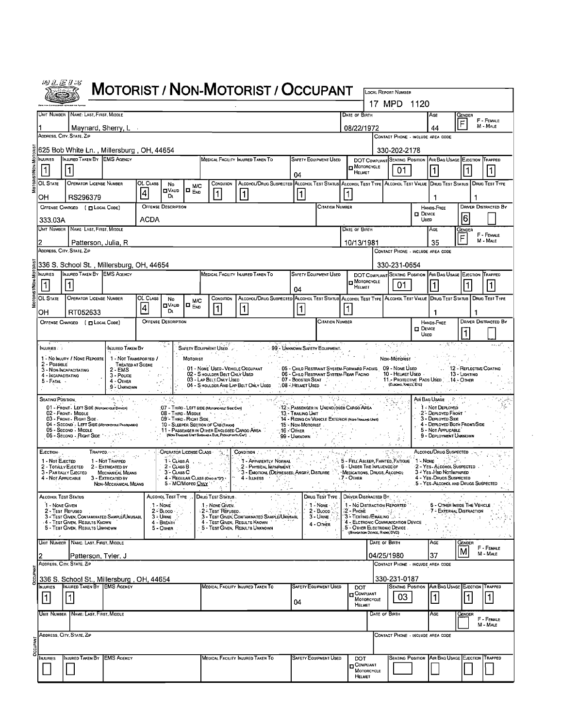|                                                                                                                                                                                                                                                                                                                                                                                                                                             |                                                                                                                                                                                                                                                                                                                                                                                                                                                                                   |                                                  |                            |                                              |                                 |                                                                                        | <b>MOTORIST / NON-MOTORIST / OCCUPANT</b>                                                                                                                                                                                        |                                                                        |                                                                                                                                                                                                                                                                                                                                                                                                                                             |                                                                |               | <b>LOCAL REPORT NUMBER</b>         |                  |                                                                  |                                          |                             |
|---------------------------------------------------------------------------------------------------------------------------------------------------------------------------------------------------------------------------------------------------------------------------------------------------------------------------------------------------------------------------------------------------------------------------------------------|-----------------------------------------------------------------------------------------------------------------------------------------------------------------------------------------------------------------------------------------------------------------------------------------------------------------------------------------------------------------------------------------------------------------------------------------------------------------------------------|--------------------------------------------------|----------------------------|----------------------------------------------|---------------------------------|----------------------------------------------------------------------------------------|----------------------------------------------------------------------------------------------------------------------------------------------------------------------------------------------------------------------------------|------------------------------------------------------------------------|---------------------------------------------------------------------------------------------------------------------------------------------------------------------------------------------------------------------------------------------------------------------------------------------------------------------------------------------------------------------------------------------------------------------------------------------|----------------------------------------------------------------|---------------|------------------------------------|------------------|------------------------------------------------------------------|------------------------------------------|-----------------------------|
|                                                                                                                                                                                                                                                                                                                                                                                                                                             |                                                                                                                                                                                                                                                                                                                                                                                                                                                                                   |                                                  |                            |                                              |                                 |                                                                                        |                                                                                                                                                                                                                                  |                                                                        |                                                                                                                                                                                                                                                                                                                                                                                                                                             |                                                                |               | 17 MPD 1120                        |                  |                                                                  |                                          |                             |
|                                                                                                                                                                                                                                                                                                                                                                                                                                             | UNIT NUMBER NAME: LAST, FIRST, MIDDLE                                                                                                                                                                                                                                                                                                                                                                                                                                             |                                                  |                            |                                              |                                 |                                                                                        |                                                                                                                                                                                                                                  |                                                                        |                                                                                                                                                                                                                                                                                                                                                                                                                                             | DATE OF BIRTH                                                  |               |                                    |                  | Age                                                              | GENDER                                   |                             |
|                                                                                                                                                                                                                                                                                                                                                                                                                                             | Maynard, Sherry, L                                                                                                                                                                                                                                                                                                                                                                                                                                                                |                                                  |                            |                                              |                                 |                                                                                        |                                                                                                                                                                                                                                  |                                                                        |                                                                                                                                                                                                                                                                                                                                                                                                                                             | 08/22/1972                                                     |               |                                    |                  | 44                                                               |                                          | F - FEMALE<br>M - MALE      |
| ADDRESS, CITY, STATE, ZIP                                                                                                                                                                                                                                                                                                                                                                                                                   |                                                                                                                                                                                                                                                                                                                                                                                                                                                                                   |                                                  |                            |                                              |                                 |                                                                                        |                                                                                                                                                                                                                                  |                                                                        |                                                                                                                                                                                                                                                                                                                                                                                                                                             |                                                                |               | CONTACT PHONE - INCLUDE AREA CODE  |                  |                                                                  |                                          |                             |
|                                                                                                                                                                                                                                                                                                                                                                                                                                             | 625 Bob White Ln., Millersburg, OH, 44654                                                                                                                                                                                                                                                                                                                                                                                                                                         |                                                  |                            |                                              |                                 |                                                                                        |                                                                                                                                                                                                                                  |                                                                        |                                                                                                                                                                                                                                                                                                                                                                                                                                             |                                                                |               | 330-202-2178                       |                  |                                                                  |                                          |                             |
| <b>NJURIES</b><br> 1                                                                                                                                                                                                                                                                                                                                                                                                                        | INJURED TAKEN BY EMS AGENCY<br>1                                                                                                                                                                                                                                                                                                                                                                                                                                                  |                                                  |                            |                                              |                                 |                                                                                        | MEDICAL FACILITY INJURED TAKEN TO                                                                                                                                                                                                | 04                                                                     | <b>SAFETY EQUIPMENT USED</b>                                                                                                                                                                                                                                                                                                                                                                                                                | <b>D</b> MOTORCYCLE<br>HELMET                                  |               | 01                                 |                  | DOT COMPLIANT SEATING POSITION AIR BAG USAGE EJECTION TRAPPED    |                                          |                             |
| OL STATE                                                                                                                                                                                                                                                                                                                                                                                                                                    | <b>OPERATOR LICENSE NUMBER</b>                                                                                                                                                                                                                                                                                                                                                                                                                                                    |                                                  | OL CLASS<br>$\overline{a}$ | No<br>$\blacksquare$ Valid<br>Dı.            | <b>M/C</b><br>l□ <sub>END</sub> | CONDITION<br>1                                                                         | ALCOHOL/DRUG SUSPECTED ALCOHOL TEST STATUS ALCOHOL TEST TYPE ALCOHOL TEST VALUE DRUG TEST STATUS DRUG TEST TYPE<br>1                                                                                                             | 1                                                                      |                                                                                                                                                                                                                                                                                                                                                                                                                                             |                                                                |               |                                    |                  |                                                                  |                                          |                             |
| он                                                                                                                                                                                                                                                                                                                                                                                                                                          | RS296379<br>OFFENSE CHARGED ( <b>D</b> LOCAL CODE)                                                                                                                                                                                                                                                                                                                                                                                                                                |                                                  |                            | <b>OFFENSE DESCRIPTION</b>                   |                                 |                                                                                        |                                                                                                                                                                                                                                  |                                                                        | <b>CITATION NUMBER</b>                                                                                                                                                                                                                                                                                                                                                                                                                      |                                                                |               |                                    |                  | - 1<br>HANDS-FREE                                                |                                          | DRIVER DISTRACTED BY        |
| 333.03A                                                                                                                                                                                                                                                                                                                                                                                                                                     |                                                                                                                                                                                                                                                                                                                                                                                                                                                                                   |                                                  | <b>ACDA</b>                |                                              |                                 |                                                                                        |                                                                                                                                                                                                                                  |                                                                        |                                                                                                                                                                                                                                                                                                                                                                                                                                             |                                                                |               | D DEVICE<br>Useo                   | 16               |                                                                  |                                          |                             |
|                                                                                                                                                                                                                                                                                                                                                                                                                                             | Unit Number   Name Last, First, Middle                                                                                                                                                                                                                                                                                                                                                                                                                                            |                                                  |                            |                                              |                                 |                                                                                        |                                                                                                                                                                                                                                  |                                                                        |                                                                                                                                                                                                                                                                                                                                                                                                                                             | DATE OF BIRTH                                                  |               |                                    |                  | AGE                                                              | Gender                                   |                             |
|                                                                                                                                                                                                                                                                                                                                                                                                                                             | Patterson, Julia, R                                                                                                                                                                                                                                                                                                                                                                                                                                                               |                                                  |                            |                                              |                                 |                                                                                        |                                                                                                                                                                                                                                  |                                                                        |                                                                                                                                                                                                                                                                                                                                                                                                                                             | 10/13/1981                                                     |               |                                    |                  | 35                                                               | F                                        | F - FEMALE<br>M - MALE      |
| ADDRESS, CITY, STATE, ZIP                                                                                                                                                                                                                                                                                                                                                                                                                   |                                                                                                                                                                                                                                                                                                                                                                                                                                                                                   |                                                  |                            |                                              |                                 |                                                                                        |                                                                                                                                                                                                                                  |                                                                        |                                                                                                                                                                                                                                                                                                                                                                                                                                             | CONTACT PHONE - INCLUDE AREA CODE                              |               |                                    |                  |                                                                  |                                          |                             |
|                                                                                                                                                                                                                                                                                                                                                                                                                                             | 336 S. School St., Millersburg, OH, 44654                                                                                                                                                                                                                                                                                                                                                                                                                                         |                                                  |                            |                                              |                                 |                                                                                        |                                                                                                                                                                                                                                  |                                                                        |                                                                                                                                                                                                                                                                                                                                                                                                                                             |                                                                |               | 330-231-0654                       |                  |                                                                  |                                          |                             |
| <b>NJURIES</b>                                                                                                                                                                                                                                                                                                                                                                                                                              | INJURED TAKEN BY EMS AGENCY                                                                                                                                                                                                                                                                                                                                                                                                                                                       |                                                  |                            |                                              |                                 |                                                                                        | MEDICAL FACILITY INJURED TAKEN TO                                                                                                                                                                                                |                                                                        | SAFETY EQUIPMENT USED                                                                                                                                                                                                                                                                                                                                                                                                                       |                                                                |               |                                    |                  | DOT COMPLIANT SEATING POSITION AIR BAG USAGE EJECTION TRAPPED    |                                          |                             |
| 11                                                                                                                                                                                                                                                                                                                                                                                                                                          |                                                                                                                                                                                                                                                                                                                                                                                                                                                                                   |                                                  |                            |                                              |                                 |                                                                                        |                                                                                                                                                                                                                                  | 04                                                                     |                                                                                                                                                                                                                                                                                                                                                                                                                                             | $\blacksquare$ MOTORCYCLE<br>HELMET                            |               | 01                                 |                  |                                                                  |                                          |                             |
| OL STATE                                                                                                                                                                                                                                                                                                                                                                                                                                    | <b>OPERATOR LICENSE NUMBER</b>                                                                                                                                                                                                                                                                                                                                                                                                                                                    |                                                  | OL CLASS                   | No<br><b>D</b> VALID                         | <b>M/C</b>                      | <b>CONDITION</b>                                                                       | ALCOHOL/DRUG SUSPECTED ALCOHOL TEST STATUS ALCOHOL TEST TYPE ALCOHOL TEST VALUE DRUG TEST STATUS   DRUG TEST TYPE                                                                                                                |                                                                        |                                                                                                                                                                                                                                                                                                                                                                                                                                             |                                                                |               |                                    |                  |                                                                  |                                          |                             |
| OH                                                                                                                                                                                                                                                                                                                                                                                                                                          | RT052633                                                                                                                                                                                                                                                                                                                                                                                                                                                                          |                                                  | 4                          | D.                                           | $\Box$ $_{END}$                 | $\vert$ 1                                                                              | 1                                                                                                                                                                                                                                | 1                                                                      |                                                                                                                                                                                                                                                                                                                                                                                                                                             |                                                                |               |                                    |                  | -1                                                               |                                          |                             |
|                                                                                                                                                                                                                                                                                                                                                                                                                                             | OFFENSE CHARGED ( T LOCAL CODE)                                                                                                                                                                                                                                                                                                                                                                                                                                                   |                                                  |                            | <b>OFFENSE DESCRIPTION</b>                   |                                 |                                                                                        |                                                                                                                                                                                                                                  |                                                                        | <b>CITATION NUMBER</b>                                                                                                                                                                                                                                                                                                                                                                                                                      |                                                                |               |                                    | $\square$ Device | HANDS-FREE                                                       |                                          | <b>DRIVER DISTRACTED BY</b> |
|                                                                                                                                                                                                                                                                                                                                                                                                                                             |                                                                                                                                                                                                                                                                                                                                                                                                                                                                                   |                                                  |                            |                                              |                                 |                                                                                        |                                                                                                                                                                                                                                  |                                                                        |                                                                                                                                                                                                                                                                                                                                                                                                                                             |                                                                |               |                                    | Useo             |                                                                  |                                          |                             |
| NJURIES : 7                                                                                                                                                                                                                                                                                                                                                                                                                                 |                                                                                                                                                                                                                                                                                                                                                                                                                                                                                   | <b>INJURED TAKEN BY</b>                          |                            |                                              |                                 | SAFETY EQUIPMENT USED                                                                  |                                                                                                                                                                                                                                  | 99 - UNKNOWN SAFETY EQUIPMENT                                          |                                                                                                                                                                                                                                                                                                                                                                                                                                             |                                                                |               | न, विकसिदार<br>जन्म<br>in a sha    |                  |                                                                  |                                          |                             |
| 2 - Possible                                                                                                                                                                                                                                                                                                                                                                                                                                | 1 - No Injury / None Reporte                                                                                                                                                                                                                                                                                                                                                                                                                                                      | 1 - Not Transported /<br><b>TREATED AT SCENE</b> |                            |                                              | MOTORIST                        |                                                                                        |                                                                                                                                                                                                                                  | $\mathcal{A}_{\text{eff}}$ , and the set of $\mathcal{A}_{\text{eff}}$ |                                                                                                                                                                                                                                                                                                                                                                                                                                             |                                                                |               | NON-MOTORIST                       |                  |                                                                  |                                          |                             |
| 3 - NON-INCAPACITATING<br>4 - Incapacitating                                                                                                                                                                                                                                                                                                                                                                                                |                                                                                                                                                                                                                                                                                                                                                                                                                                                                                   | $2 - EMS$<br>$3 - \text{Pouce}$                  |                            |                                              |                                 | - 01 - NONE USED - VEHICLE OCCUPANT                                                    | 02 - Shoulder Belt Only Used  06 - Child Restraint System Rear Facino<br>03 - Lap Belt Only Used  07 - Booster Seat                                                                                                              |                                                                        | 05 - Child Restraint System-Forward Facing 09 - None Used                                                                                                                                                                                                                                                                                                                                                                                   |                                                                |               | 10 - Helmet Used                   |                  |                                                                  | 12 - REFLECTIVE COATING<br>13 - Lighting |                             |
| 5 - Fatal<br>is is                                                                                                                                                                                                                                                                                                                                                                                                                          |                                                                                                                                                                                                                                                                                                                                                                                                                                                                                   | 4 - OTHER<br>9 : Unknown                         |                            |                                              |                                 |                                                                                        | 04 - S HOULDER AND LAP BELT ONLY USED 508 - HELMET USED 4                                                                                                                                                                        |                                                                        |                                                                                                                                                                                                                                                                                                                                                                                                                                             |                                                                |               | (ELBOWS, KNEES, ETC)               |                  | 11. PROTECTIVE PADS USED 14 - OTHER                              |                                          |                             |
| Seating Position.                                                                                                                                                                                                                                                                                                                                                                                                                           |                                                                                                                                                                                                                                                                                                                                                                                                                                                                                   | $\{A_{\ell+1}\}_{\ell\geq 1}$ (                  |                            | $\mathcal{F} \in \mathcal{G}_{\infty}^{K}$ . |                                 | $40.63 - 8.15$                                                                         | ふうし しなながら トライン ふしょく エー・チート                                                                                                                                                                                                       |                                                                        | $\frac{1}{2} \left[ \frac{1}{2} \sqrt{2} \frac{1}{2} \sqrt{2} \sum_{i \in \mathcal{I}} \frac{1}{2} \sum_{i \in \mathcal{I}} \frac{1}{2} \sum_{i \in \mathcal{I}} \frac{1}{2} \sum_{i \in \mathcal{I}} \frac{1}{2} \sum_{i \in \mathcal{I}} \frac{1}{2} \sum_{i \in \mathcal{I}} \frac{1}{2} \sum_{i \in \mathcal{I}} \frac{1}{2} \sum_{i \in \mathcal{I}} \frac{1}{2} \sum_{i \in \mathcal{I}} \frac{1}{2} \sum_{i \in \mathcal{I}} \frac{$ |                                                                |               |                                    |                  | Alri Bag Usage (2011)                                            |                                          |                             |
|                                                                                                                                                                                                                                                                                                                                                                                                                                             | 01 - FRONT - LEFT SIDE (MOTORCYCLE DRIVER)<br>02 - Front Middle                                                                                                                                                                                                                                                                                                                                                                                                                   |                                                  |                            |                                              |                                 | 07 - THIRO - LEFT SIDE (Motorcycle Side CAR)<br>08 - THIRD - MIDDLE AND AND ALL AND AN |                                                                                                                                                                                                                                  |                                                                        | 12 - PASSENGER IN UNENCLOSED CARGO AREA<br>13 - Trailing Unit                                                                                                                                                                                                                                                                                                                                                                               |                                                                |               |                                    |                  | 1 - Not Deployed<br>-2 - DEPLOYED FRONT                          |                                          |                             |
|                                                                                                                                                                                                                                                                                                                                                                                                                                             | 03 - FRONT - RIGHT SIDE.<br>04 - SECOND - LEFT SIDE (MOTOROYCLE PASSENGER)                                                                                                                                                                                                                                                                                                                                                                                                        |                                                  |                            |                                              |                                 | 09 - Thinn Right Side   The Side   Think St<br>10 - SLEEPER SECTION OF CAB (TRUCK)     |                                                                                                                                                                                                                                  | 15 - Non-Motorist                                                      | 14 - RIDING ON VEHICLE EXTERIOR (NOT TRAILED UNT)                                                                                                                                                                                                                                                                                                                                                                                           |                                                                |               |                                    |                  | 3 - Deployed Side<br>4 - DEPLOYED BOTH FRONT/SIDE                |                                          |                             |
|                                                                                                                                                                                                                                                                                                                                                                                                                                             | 05 - Second - Middle<br>06 - Sécond - Right Side New York                                                                                                                                                                                                                                                                                                                                                                                                                         |                                                  |                            |                                              |                                 |                                                                                        | TO - SUBPEN OR DE CONSUMER DE CONSUMER DE COMMUNICATION AND THE CONSUMER DE CONSUMER DE COMMUNICATION CONSUMER<br>(NOT TAXIS DE COMMUNICATION DE CONSUMER DE CONSUMER DE COMMUNICATION CONSUMER DE COMMUNICATION COMMUNICATION C |                                                                        |                                                                                                                                                                                                                                                                                                                                                                                                                                             |                                                                |               |                                    |                  | 5 - NOT APPLICABLE<br>9 - DEPLOYMENT UNKNOWN                     |                                          |                             |
|                                                                                                                                                                                                                                                                                                                                                                                                                                             | $\label{eq:2} \frac{1}{2}\left(\frac{1}{2}+\frac{1}{2}\right)\left(\frac{1}{2}-\frac{1}{2}\right)\left(\frac{1}{2}-\frac{1}{2}\right)\left(\frac{1}{2}-\frac{1}{2}\right)\left(\frac{1}{2}-\frac{1}{2}\right)\left(\frac{1}{2}-\frac{1}{2}\right)\left(\frac{1}{2}-\frac{1}{2}\right)\left(\frac{1}{2}-\frac{1}{2}\right)\left(\frac{1}{2}-\frac{1}{2}\right)\left(\frac{1}{2}-\frac{1}{2}\right)\left(\frac{1}{2}-\frac{1}{2}\right)\left(\frac{1}{2}-\frac{1}{2}\right)\left(\$ |                                                  |                            |                                              |                                 | The common of the state of the                                                         |                                                                                                                                                                                                                                  |                                                                        |                                                                                                                                                                                                                                                                                                                                                                                                                                             |                                                                |               |                                    |                  | control of the state of the state                                |                                          |                             |
| <b>EJECTION</b>                                                                                                                                                                                                                                                                                                                                                                                                                             | TRAPPED. A management<br>1 - Not Trapped                                                                                                                                                                                                                                                                                                                                                                                                                                          | $-481 - 43$                                      |                            |                                              | OPERATOR LICENSE CLASS          |                                                                                        |                                                                                                                                                                                                                                  |                                                                        |                                                                                                                                                                                                                                                                                                                                                                                                                                             |                                                                |               |                                    | $1 -$ None       | ALCOHOL/DRUG SUSPECTED<br>그리고 대한 화도로                             |                                          |                             |
| CONDITION<br>T - APPARENTLY NORMAL<br>2 - PHYSICAL MPAIRMENT<br>3 - EMOTIONI, (DEPRESSED, ANGRY, DISTURBE ) MEDICATIONS, DRUGS, ALCOHOL<br>3 - EMOTIONI, (DEPRESSED, ANGRY, DISTURBE ) MEDICATIONS, DRUGS, ALCOHOL<br>$1 - \text{Class } A$<br>1 - Not EJECTED<br>2 - YES - ALCOHOL SUSPECTED<br>2 - Τοτάμγ Ειεςτερ<br>$2 - \text{Class } B$<br>2 - Extricated by<br>3 = Yes - HBD NotIMPAIRED<br>3 - PARTIALLY EJECTED<br>MECHANICAL MEANS |                                                                                                                                                                                                                                                                                                                                                                                                                                                                                   |                                                  |                            |                                              |                                 |                                                                                        |                                                                                                                                                                                                                                  |                                                                        |                                                                                                                                                                                                                                                                                                                                                                                                                                             |                                                                |               |                                    |                  |                                                                  |                                          |                             |
| 4 - Not Applicable                                                                                                                                                                                                                                                                                                                                                                                                                          | 3 - EXTRICATED BY                                                                                                                                                                                                                                                                                                                                                                                                                                                                 | NON-MECHANICAL MEANS                             |                            |                                              | 5 - MC/MoPED ONLY               | 4 - REGULAR CLASS (OHOIS TD")<br>ا نا                                                  | $\sim$ 4 - ILLNESS $\sim$ $\frac{1}{2}$ $\sim$ $\sim$ $\sim$<br><b>Service</b>                                                                                                                                                   |                                                                        |                                                                                                                                                                                                                                                                                                                                                                                                                                             | 7 - Other<br>未行 (作品) しょう                                       | $\sim$        | is and                             |                  | 4 - YES - DRUGS SUSPECTED<br>5 - YES ALCOHOL AND DRUGS SUSPECTED |                                          |                             |
| ALCOHOL TEST STATUS                                                                                                                                                                                                                                                                                                                                                                                                                         |                                                                                                                                                                                                                                                                                                                                                                                                                                                                                   |                                                  |                            | ALCOHOL TEST TYPE                            |                                 | DRUG TEST STATUS                                                                       |                                                                                                                                                                                                                                  |                                                                        | Drug Test Type                                                                                                                                                                                                                                                                                                                                                                                                                              | DRIVER DISTRACTED BY:                                          |               |                                    |                  |                                                                  |                                          |                             |
| 1 - NONE GIVEN                                                                                                                                                                                                                                                                                                                                                                                                                              |                                                                                                                                                                                                                                                                                                                                                                                                                                                                                   |                                                  | $1 - None$                 |                                              |                                 | 1 - NONE GIVEN.                                                                        |                                                                                                                                                                                                                                  |                                                                        | $-1 - None$                                                                                                                                                                                                                                                                                                                                                                                                                                 | 1 - No DISTRACTION REPORTED                                    |               |                                    |                  | <b>6 - OTHER INSIDE THE VEHICLE</b>                              |                                          |                             |
| 2 - TEST REFUSED                                                                                                                                                                                                                                                                                                                                                                                                                            | 3 - TEST GIVEN, CONTAMINATED SAMPLE/UNUSABL                                                                                                                                                                                                                                                                                                                                                                                                                                       |                                                  | 3 - URINE                  | $2 - B$ LOOD                                 |                                 | 2 - Test Refused.                                                                      | 3 - TEST GIVEN, CONTAMINATED SAMPLE/UNUSABL                                                                                                                                                                                      |                                                                        | 2 - BLOOD<br>$3 -$ URINE $^{\circ}$                                                                                                                                                                                                                                                                                                                                                                                                         | á2Í-PhónÈ sa sa<br>3 - Texting / Emailing 1.3 - 1              |               |                                    |                  | 7 - EXTERNAL DISTRACTION                                         |                                          |                             |
|                                                                                                                                                                                                                                                                                                                                                                                                                                             | 4 - Test Given, Results Known<br>5 - TEST GIVEN, RESULTS UNKNOWN                                                                                                                                                                                                                                                                                                                                                                                                                  |                                                  |                            | 4 - BREATH<br>5 - OTHER                      |                                 |                                                                                        | 4 - TEST GIVEN, RESULTS KNOWN<br>5 - TEST GIVEN, RESULTS UNKNOWN                                                                                                                                                                 |                                                                        | 4 - Omen                                                                                                                                                                                                                                                                                                                                                                                                                                    | 5 - OTHER ELECTRONIC DEVICE.<br>(NAMOATION DEVICE, RADIO, DVD) |               | 4 - ELCTRONIC COMMUNICATION DEVICE |                  |                                                                  |                                          |                             |
| <b>UNIT NUMBER</b>                                                                                                                                                                                                                                                                                                                                                                                                                          | NAME: LAST, FIRST, MIDDLE                                                                                                                                                                                                                                                                                                                                                                                                                                                         |                                                  |                            |                                              |                                 |                                                                                        | $\sigma$ .                                                                                                                                                                                                                       |                                                                        |                                                                                                                                                                                                                                                                                                                                                                                                                                             |                                                                | DATE OF BIRTH |                                    |                  | AGE                                                              | Gender                                   |                             |
|                                                                                                                                                                                                                                                                                                                                                                                                                                             | Patterson, Tyler, J                                                                                                                                                                                                                                                                                                                                                                                                                                                               |                                                  |                            |                                              |                                 |                                                                                        |                                                                                                                                                                                                                                  |                                                                        |                                                                                                                                                                                                                                                                                                                                                                                                                                             |                                                                | 04/25/1980    |                                    |                  | 37                                                               | M                                        | F - FEMALE<br>M - MALE      |
| ADDRESS, CITY, STATE, ZIP                                                                                                                                                                                                                                                                                                                                                                                                                   |                                                                                                                                                                                                                                                                                                                                                                                                                                                                                   |                                                  |                            |                                              |                                 |                                                                                        |                                                                                                                                                                                                                                  |                                                                        |                                                                                                                                                                                                                                                                                                                                                                                                                                             |                                                                |               | CONTACT PHONE - INCLUDE AREA CODE  |                  |                                                                  |                                          |                             |
|                                                                                                                                                                                                                                                                                                                                                                                                                                             | 336 S. School St., Millersburg, OH, 44654                                                                                                                                                                                                                                                                                                                                                                                                                                         |                                                  |                            |                                              |                                 |                                                                                        |                                                                                                                                                                                                                                  |                                                                        |                                                                                                                                                                                                                                                                                                                                                                                                                                             |                                                                |               | 330-231-0187                       |                  |                                                                  |                                          |                             |
| <b>NJURIES</b>                                                                                                                                                                                                                                                                                                                                                                                                                              | INJURED TAKEN BY EMS AGENCY                                                                                                                                                                                                                                                                                                                                                                                                                                                       |                                                  |                            |                                              |                                 |                                                                                        | MEDICAL FACILITY INJURED TAKEN TO                                                                                                                                                                                                |                                                                        | <b>SAFETY EQUIPMENT USED</b>                                                                                                                                                                                                                                                                                                                                                                                                                | <b>DOT</b><br>COMPLIANT                                        |               | <b>SEATING POSITION</b>            |                  | AIR BAG USAGE EJECTION                                           |                                          | TRAPPED                     |
| 1                                                                                                                                                                                                                                                                                                                                                                                                                                           | 1                                                                                                                                                                                                                                                                                                                                                                                                                                                                                 |                                                  |                            |                                              |                                 |                                                                                        |                                                                                                                                                                                                                                  | 04                                                                     |                                                                                                                                                                                                                                                                                                                                                                                                                                             | HELMET                                                         | MOTORCYCLE    | 03                                 |                  | 1                                                                | 1                                        | 11                          |
|                                                                                                                                                                                                                                                                                                                                                                                                                                             | UNIT NUMBER   NAME: LAST, FIRST, MIDDLE                                                                                                                                                                                                                                                                                                                                                                                                                                           |                                                  |                            |                                              |                                 |                                                                                        |                                                                                                                                                                                                                                  |                                                                        |                                                                                                                                                                                                                                                                                                                                                                                                                                             |                                                                | DATE OF BIRTH |                                    |                  | AGE                                                              | Gender                                   | F - FEMALE                  |
|                                                                                                                                                                                                                                                                                                                                                                                                                                             |                                                                                                                                                                                                                                                                                                                                                                                                                                                                                   |                                                  |                            |                                              |                                 |                                                                                        |                                                                                                                                                                                                                                  |                                                                        |                                                                                                                                                                                                                                                                                                                                                                                                                                             |                                                                |               |                                    |                  |                                                                  |                                          | M - MALE                    |
| ADDRESS, CITY, STATE, ZIP                                                                                                                                                                                                                                                                                                                                                                                                                   |                                                                                                                                                                                                                                                                                                                                                                                                                                                                                   |                                                  |                            |                                              |                                 |                                                                                        |                                                                                                                                                                                                                                  |                                                                        |                                                                                                                                                                                                                                                                                                                                                                                                                                             |                                                                |               | CONTACT PHONE - INCLUDE AREA CODE  |                  |                                                                  |                                          |                             |
|                                                                                                                                                                                                                                                                                                                                                                                                                                             |                                                                                                                                                                                                                                                                                                                                                                                                                                                                                   |                                                  |                            |                                              |                                 |                                                                                        |                                                                                                                                                                                                                                  |                                                                        |                                                                                                                                                                                                                                                                                                                                                                                                                                             |                                                                |               |                                    |                  |                                                                  |                                          |                             |
| NJURIES                                                                                                                                                                                                                                                                                                                                                                                                                                     | INJURED TAKEN BY EMS AGENCY                                                                                                                                                                                                                                                                                                                                                                                                                                                       |                                                  |                            |                                              |                                 |                                                                                        | MEDICAL FACILITY INJURED TAKEN TO                                                                                                                                                                                                |                                                                        | <b>SAFETY EQUIPMENT USED</b>                                                                                                                                                                                                                                                                                                                                                                                                                | <b>DOT</b><br><b>D</b> COMPLIANT                               |               | <b>SEATING POSITION</b>            |                  | AIR BAG USAGE                                                    |                                          | EJECTION TRAPPED            |
|                                                                                                                                                                                                                                                                                                                                                                                                                                             |                                                                                                                                                                                                                                                                                                                                                                                                                                                                                   |                                                  |                            |                                              |                                 |                                                                                        |                                                                                                                                                                                                                                  |                                                                        |                                                                                                                                                                                                                                                                                                                                                                                                                                             | HELMET                                                         | MOTORCYCLE    |                                    |                  |                                                                  |                                          |                             |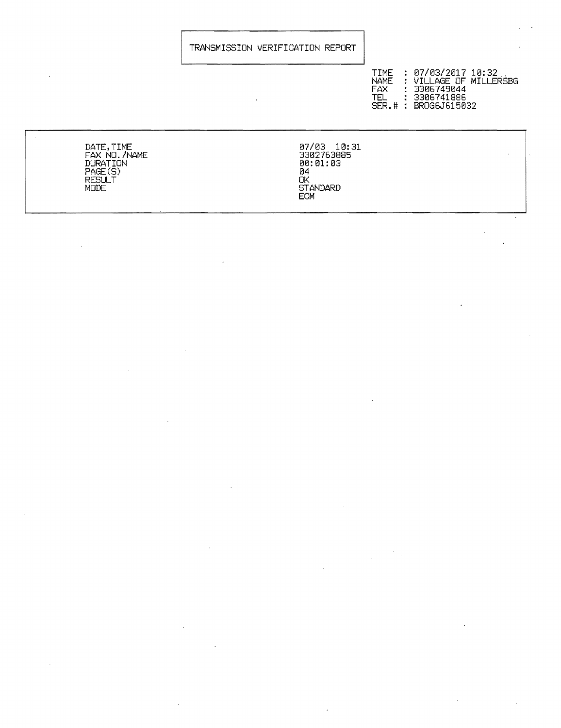## TRANSMI\$SION VERIFICATION REPORT

| TIME<br><b>NAME</b><br>: 3306749044<br>FAX.<br>: 3306741886<br>TEL 1<br>SER.# : BROG6J615032 | : 07/03/2017 10:32<br>: VILLAGE OF MILLERSBG |
|----------------------------------------------------------------------------------------------|----------------------------------------------|
|----------------------------------------------------------------------------------------------|----------------------------------------------|

 $\bar{\beta}$ 

DATE, TIME *07/03 10:31*  FAX NO./NAME 3302763885 DURATION **00:01:03** PAGE(S) 84 RESULT **OK AND A RESULT** MODE STANDARD

 $\mathcal{A}$ 

ECM

 $\frac{1}{\sqrt{2}}\left( \frac{1}{\sqrt{2}}\right) \frac{1}{\sqrt{2}}\left( \frac{1}{\sqrt{2}}\right) \frac{1}{\sqrt{2}}\left( \frac{1}{\sqrt{2}}\right) \frac{1}{\sqrt{2}}\left( \frac{1}{\sqrt{2}}\right) \frac{1}{\sqrt{2}}\left( \frac{1}{\sqrt{2}}\right) \frac{1}{\sqrt{2}}\left( \frac{1}{\sqrt{2}}\right) \frac{1}{\sqrt{2}}\left( \frac{1}{\sqrt{2}}\right) \frac{1}{\sqrt{2}}\left( \frac{1}{\sqrt{2}}\right) \frac{1}{\sqrt{2}}\left$